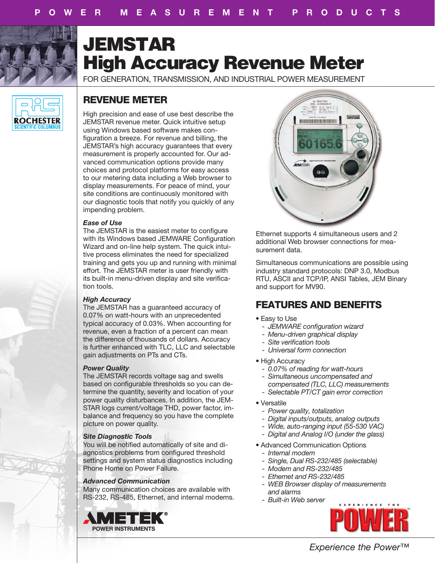

# JEMSTAR High Accuracy Revenue Meter

FOR GENERATION, TRANSMISSION, AND INDUSTRIAL POWER MEASUREMENT



# REVENUE METER

High precision and ease of use best describe the JEMSTAR revenue meter. Quick intuitive setup using Windows based software makes configuration a breeze. For revenue and billing, the JEMSTAR's high accuracy guarantees that every measurement is properly accounted for. Our advanced communication options provide many choices and protocol platforms for easy access to our metering data including a Web browser to display measurements. For peace of mind, your site conditions are continuously monitored with our diagnostic tools that notify you quickly of any impending problem.

# *Ease of Use*

The JEMSTAR is the easiest meter to configure with its Windows based JEMWARE Configuration Wizard and on-line help system. The quick intuitive process eliminates the need for specialized training and gets you up and running with minimal effort. The JEMSTAR meter is user friendly with its built-in menu-driven display and site verification tools.

# *High Accuracy*

The JEMSTAR has a guaranteed accuracy of 0.07% on watt-hours with an unprecedented typical accuracy of 0.03%. When accounting for revenue, even a fraction of a percent can mean the difference of thousands of dollars. Accuracy is further enhanced with TLC, LLC and selectable gain adjustments on PTs and CTs.

# *Power Quality*

The JEMSTAR records voltage sag and swells based on configurable thresholds so you can determine the quantity, severity and location of your power quality disturbances. In addition, the JEM-STAR logs current/voltage THD, power factor, imbalance and frequency so you have the complete picture on power quality.

# *Site Diagnostic Tools*

You will be notified automatically of site and diagnostics problems from configured threshold settings and system status diagnostics including Phone Home on Power Failure.

# *Advanced Communication*

Many communication choices are available with RS-232, RS-485, Ethernet, and internal modems.





Ethernet supports 4 simultaneous users and 2 additional Web browser connections for measurement data.

Simultaneous communications are possible using industry standard protocols: DNP 3.0, Modbus RTU, ASCII and TCP/IP, ANSI Tables, JEM Binary and support for MV90.

# FEATURES AND BENEFITS

- Easy to Use
	- *JEMWARE configuration wizard*
	- *Menu-driven graphical display*
	- *- Site verification tools*
	- *- Universal form connection*
- High Accuracy
	- *- 0.07% of reading for watt-hours - Simultaneous uncompensated and*
	- *compensated (TLC, LLC) measurements*
	- *- Selectable PT/CT gain error correction*
- Versatile
	- *- Power quality, totalization*
	- *- Digital inputs/outputs, analog outputs*
	- *- Wide, auto-ranging input (55-530 VAC)*
	- *- Digital and Analog I/O (under the glass)*
- Advanced Communication Options
- *Internal modem*
- *Single, Dual RS-232/485 (selectable)*
- *Modem and RS-232/485*
- *Ethernet and RS-232/485*
- *WEB Browser display of measurements and alarms*
- *- Built-in Web server*



*Experience the Power™*